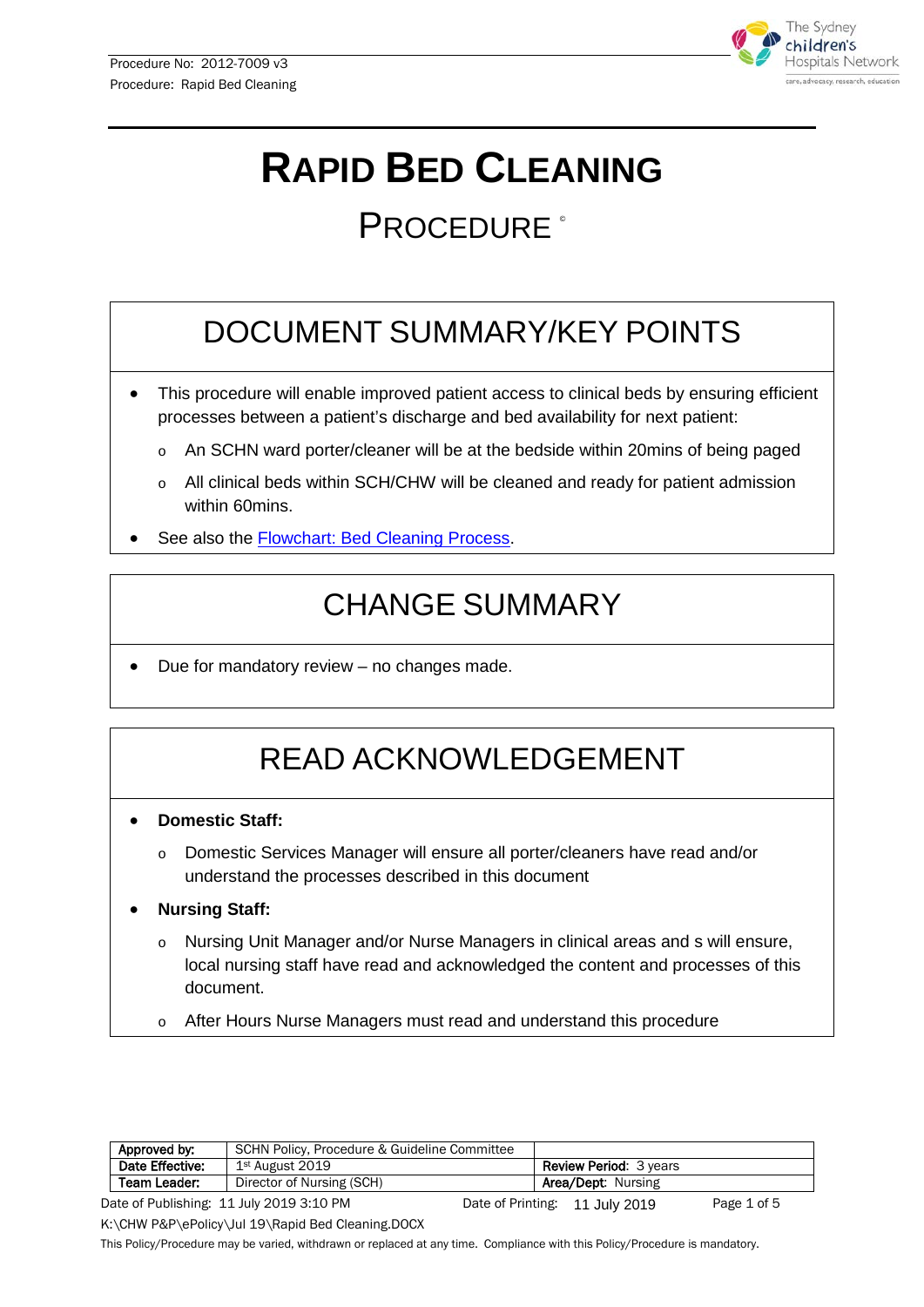

# **RAPID BED CLEANING**

## PROCEDURE<sup>®</sup>

## DOCUMENT SUMMARY/KEY POINTS

- This procedure will enable improved patient access to clinical beds by ensuring efficient processes between a patient's discharge and bed availability for next patient:
	- An SCHN ward porter/cleaner will be at the bedside within 20mins of being paged
	- All clinical beds within SCH/CHW will be cleaned and ready for patient admission within 60mins.
- See also the [Flowchart: Bed Cleaning Process.](#page-3-0)

## CHANGE SUMMARY

• Due for mandatory review – no changes made.

## READ ACKNOWLEDGEMENT

- **Domestic Staff:** 
	- o Domestic Services Manager will ensure all porter/cleaners have read and/or understand the processes described in this document
- **Nursing Staff:** 
	- o Nursing Unit Manager and/or Nurse Managers in clinical areas and s will ensure, local nursing staff have read and acknowledged the content and processes of this document.
	- o After Hours Nurse Managers must read and understand this procedure

| Approved by:    | SCHN Policy, Procedure & Guideline Committee |  |  |                                |             |
|-----------------|----------------------------------------------|--|--|--------------------------------|-------------|
| Date Effective: | 1st August 2019                              |  |  | <b>Review Period: 3 years</b>  |             |
| Team Leader:    | Director of Nursing (SCH)                    |  |  | <b>Area/Dept: Nursing</b>      |             |
|                 | Date of Publishing: 11 July 2019 3:10 PM     |  |  | Date of Printing: 11 July 2019 | Page 1 of 5 |

K:\CHW P&P\ePolicy\Jul 19\Rapid Bed Cleaning.DOCX

This Policy/Procedure may be varied, withdrawn or replaced at any time. Compliance with this Policy/Procedure is mandatory.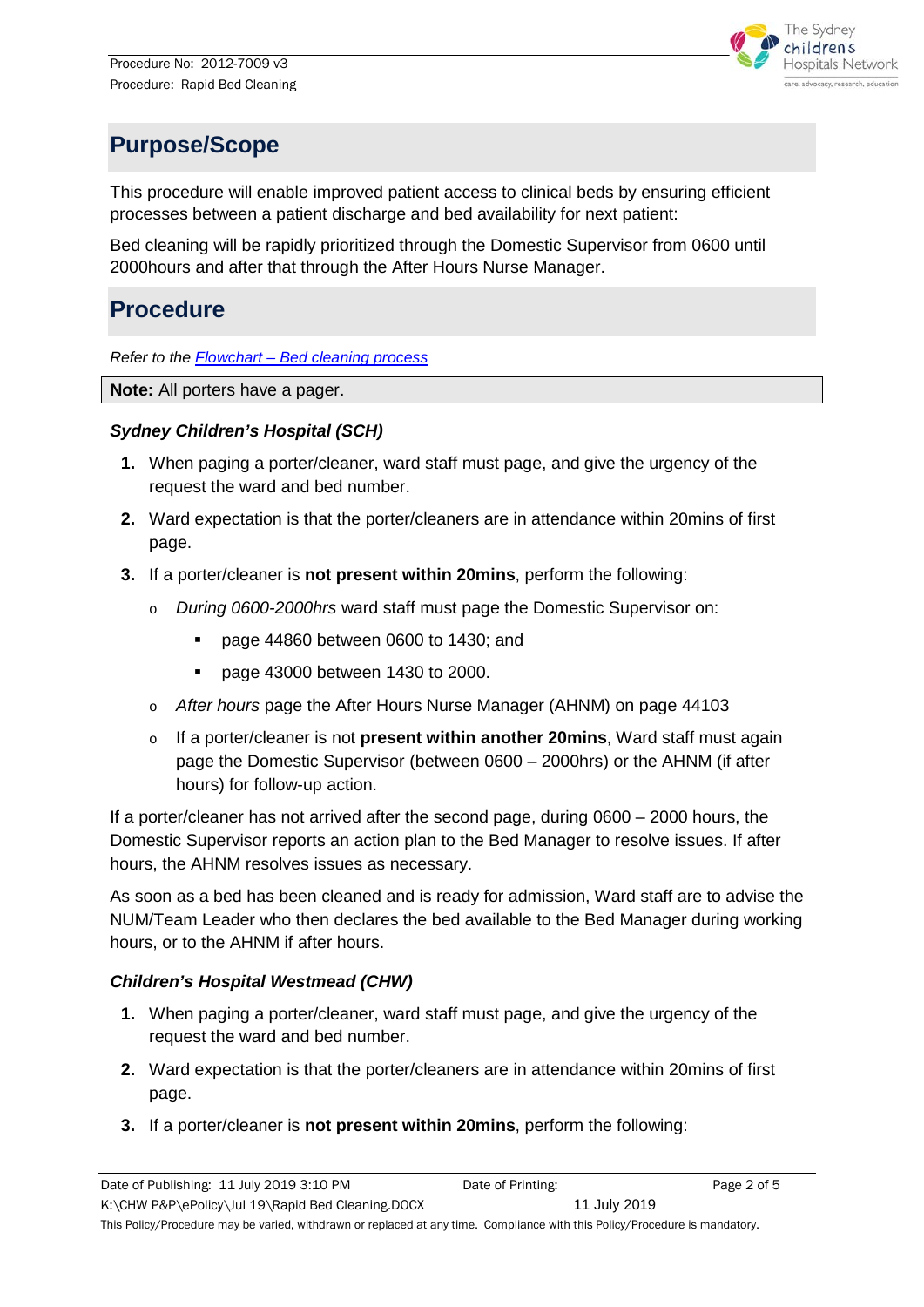

## **Purpose/Scope**

This procedure will enable improved patient access to clinical beds by ensuring efficient processes between a patient discharge and bed availability for next patient:

Bed cleaning will be rapidly prioritized through the Domestic Supervisor from 0600 until 2000hours and after that through the After Hours Nurse Manager.

### **Procedure**

*Refer to the Flowchart – [Bed cleaning process](#page-3-0)*

**Note:** All porters have a pager.

#### *Sydney Children's Hospital (SCH)*

- **1.** When paging a porter/cleaner, ward staff must page, and give the urgency of the request the ward and bed number.
- **2.** Ward expectation is that the porter/cleaners are in attendance within 20mins of first page.
- **3.** If a porter/cleaner is **not present within 20mins**, perform the following:
	- o *During 0600-2000hrs* ward staff must page the Domestic Supervisor on:
		- page 44860 between 0600 to 1430; and
		- **page 43000 between 1430 to 2000.**
	- o *After hours* page the After Hours Nurse Manager (AHNM) on page 44103
	- o If a porter/cleaner is not **present within another 20mins**, Ward staff must again page the Domestic Supervisor (between 0600 – 2000hrs) or the AHNM (if after hours) for follow-up action.

If a porter/cleaner has not arrived after the second page, during 0600 – 2000 hours, the Domestic Supervisor reports an action plan to the Bed Manager to resolve issues. If after hours, the AHNM resolves issues as necessary.

As soon as a bed has been cleaned and is ready for admission, Ward staff are to advise the NUM/Team Leader who then declares the bed available to the Bed Manager during working hours, or to the AHNM if after hours.

#### *Children's Hospital Westmead (CHW)*

- **1.** When paging a porter/cleaner, ward staff must page, and give the urgency of the request the ward and bed number.
- **2.** Ward expectation is that the porter/cleaners are in attendance within 20mins of first page.
- **3.** If a porter/cleaner is **not present within 20mins**, perform the following: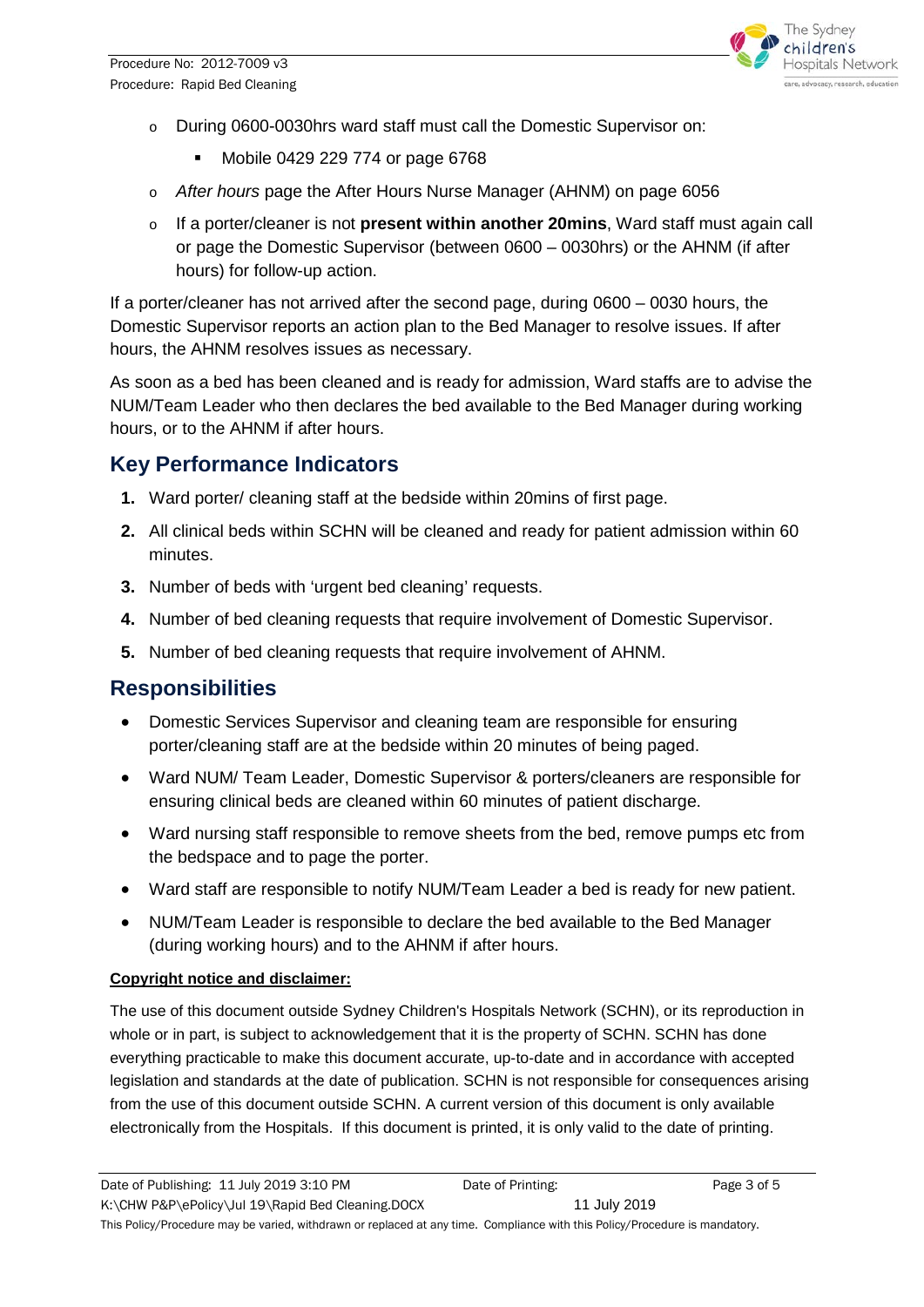

- o During 0600-0030hrs ward staff must call the Domestic Supervisor on:
	- **Mobile 0429 229 774 or page 6768**
- o *After hours* page the After Hours Nurse Manager (AHNM) on page 6056
- o If a porter/cleaner is not **present within another 20mins**, Ward staff must again call or page the Domestic Supervisor (between 0600 – 0030hrs) or the AHNM (if after hours) for follow-up action.

If a porter/cleaner has not arrived after the second page, during 0600 – 0030 hours, the Domestic Supervisor reports an action plan to the Bed Manager to resolve issues. If after hours, the AHNM resolves issues as necessary.

As soon as a bed has been cleaned and is ready for admission, Ward staffs are to advise the NUM/Team Leader who then declares the bed available to the Bed Manager during working hours, or to the AHNM if after hours.

#### **Key Performance Indicators**

- **1.** Ward porter/ cleaning staff at the bedside within 20mins of first page.
- **2.** All clinical beds within SCHN will be cleaned and ready for patient admission within 60 minutes.
- **3.** Number of beds with 'urgent bed cleaning' requests.
- **4.** Number of bed cleaning requests that require involvement of Domestic Supervisor.
- **5.** Number of bed cleaning requests that require involvement of AHNM.

### **Responsibilities**

- Domestic Services Supervisor and cleaning team are responsible for ensuring porter/cleaning staff are at the bedside within 20 minutes of being paged.
- Ward NUM/ Team Leader, Domestic Supervisor & porters/cleaners are responsible for ensuring clinical beds are cleaned within 60 minutes of patient discharge.
- Ward nursing staff responsible to remove sheets from the bed, remove pumps etc from the bedspace and to page the porter.
- Ward staff are responsible to notify NUM/Team Leader a bed is ready for new patient.
- NUM/Team Leader is responsible to declare the bed available to the Bed Manager (during working hours) and to the AHNM if after hours.

#### **Copyright notice and disclaimer:**

The use of this document outside Sydney Children's Hospitals Network (SCHN), or its reproduction in whole or in part, is subject to acknowledgement that it is the property of SCHN. SCHN has done everything practicable to make this document accurate, up-to-date and in accordance with accepted legislation and standards at the date of publication. SCHN is not responsible for consequences arising from the use of this document outside SCHN. A current version of this document is only available electronically from the Hospitals. If this document is printed, it is only valid to the date of printing.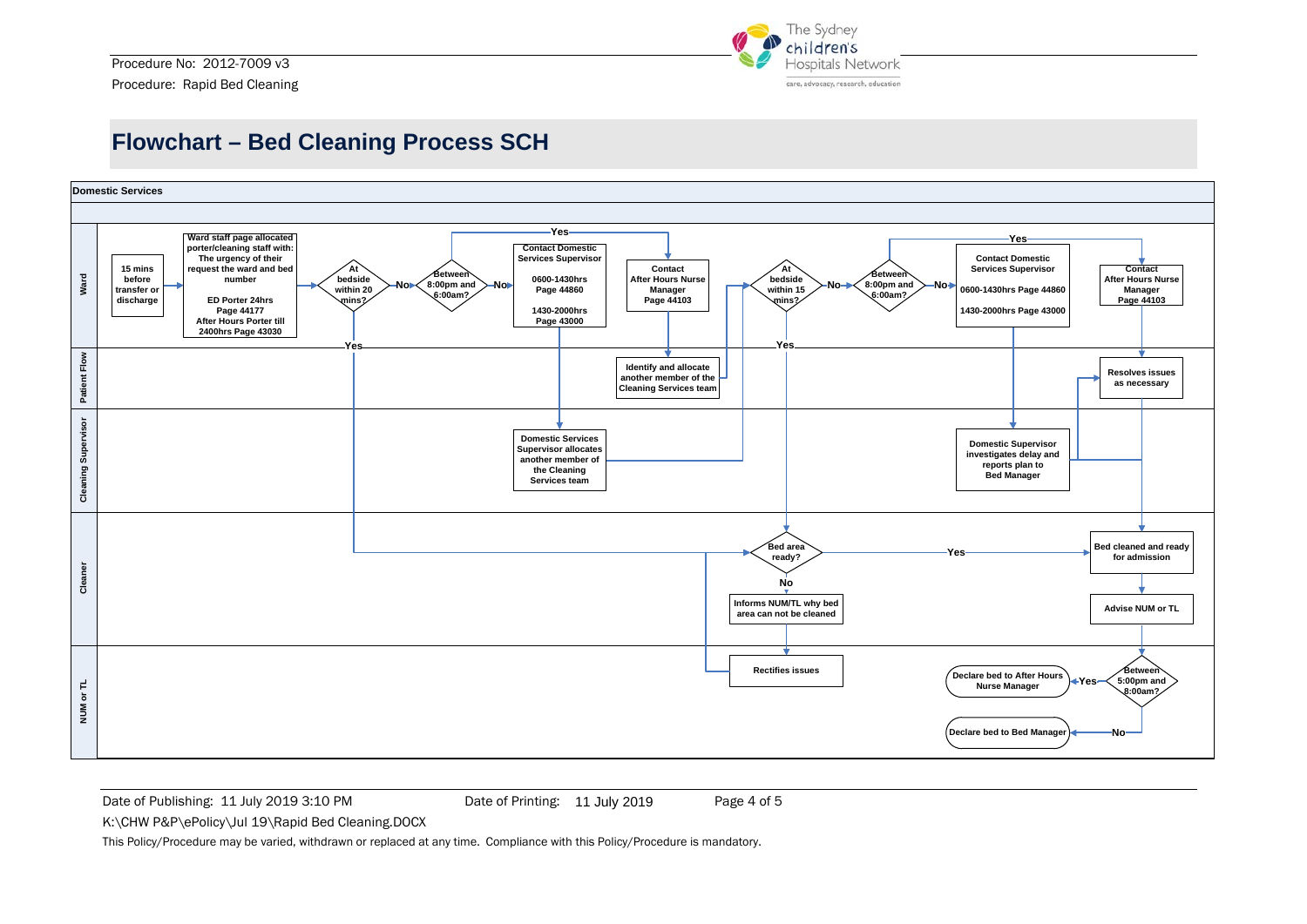

### **Flowchart – Bed Cleaning Process SCH**



<span id="page-3-0"></span>Date of Publishing: 11 July 2019 3:10 PM Date of Printing: 11 July 2019 Page 4 of 5

Date of Printing: 11 July 2019

K:\CHW P&P\ePolicy\Jul 19\Rapid Bed Cleaning.DOCX

This Policy/Procedure may be varied, withdrawn or replaced at any time. Compliance with this Policy/Procedure is mandatory.